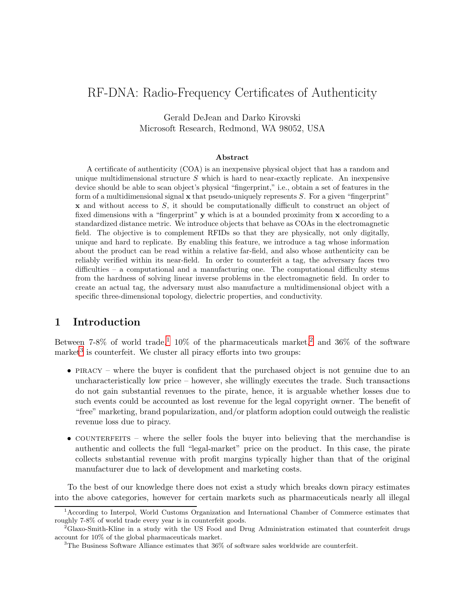# RF-DNA: Radio-Frequency Certificates of Authenticity

Gerald DeJean and Darko Kirovski Microsoft Research, Redmond, WA 98052, USA

#### Abstract

A certificate of authenticity (COA) is an inexpensive physical object that has a random and unique multidimensional structure  $S$  which is hard to near-exactly replicate. An inexpensive device should be able to scan object's physical "fingerprint," i.e., obtain a set of features in the form of a multidimensional signal  $x$  that pseudo-uniquely represents  $S$ . For a given "fingerprint" x and without access to S, it should be computationally difficult to construct an object of fixed dimensions with a "fingerprint" y which is at a bounded proximity from x according to a standardized distance metric. We introduce objects that behave as COAs in the electromagnetic field. The objective is to complement RFIDs so that they are physically, not only digitally, unique and hard to replicate. By enabling this feature, we introduce a tag whose information about the product can be read within a relative far-field, and also whose authenticity can be reliably verified within its near-field. In order to counterfeit a tag, the adversary faces two difficulties – a computational and a manufacturing one. The computational difficulty stems from the hardness of solving linear inverse problems in the electromagnetic field. In order to create an actual tag, the adversary must also manufacture a multidimensional object with a specific three-dimensional topology, dielectric properties, and conductivity.

## <span id="page-0-3"></span>1 Introduction

Between 7-8% of world trade,<sup>[1](#page-0-0)</sup> 10% of the pharmaceuticals market,<sup>[2](#page-0-1)</sup> and 36% of the software market<sup>[3](#page-0-2)</sup> is counterfeit. We cluster all piracy efforts into two groups:

- PIRACY where the buyer is confident that the purchased object is not genuine due to an uncharacteristically low price – however, she willingly executes the trade. Such transactions do not gain substantial revenues to the pirate, hence, it is arguable whether losses due to such events could be accounted as lost revenue for the legal copyright owner. The benefit of "free" marketing, brand popularization, and/or platform adoption could outweigh the realistic revenue loss due to piracy.
- COUNTERFEITS where the seller fools the buyer into believing that the merchandise is authentic and collects the full "legal-market" price on the product. In this case, the pirate collects substantial revenue with profit margins typically higher than that of the original manufacturer due to lack of development and marketing costs.

To the best of our knowledge there does not exist a study which breaks down piracy estimates into the above categories, however for certain markets such as pharmaceuticals nearly all illegal

<span id="page-0-0"></span><sup>1</sup>According to Interpol, World Customs Organization and International Chamber of Commerce estimates that roughly 7-8% of world trade every year is in counterfeit goods.

<sup>2</sup>Glaxo-Smith-Kline in a study with the US Food and Drug Administration estimated that counterfeit drugs account for 10% of the global pharmaceuticals market.

<span id="page-0-2"></span><span id="page-0-1"></span><sup>3</sup>The Business Software Alliance estimates that 36% of software sales worldwide are counterfeit.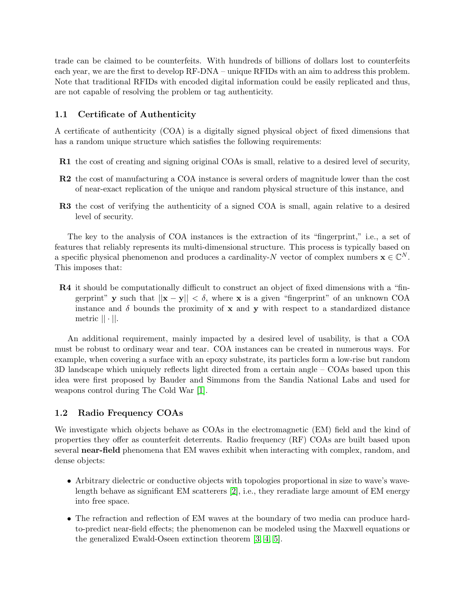trade can be claimed to be counterfeits. With hundreds of billions of dollars lost to counterfeits each year, we are the first to develop RF-DNA – unique RFIDs with an aim to address this problem. Note that traditional RFIDs with encoded digital information could be easily replicated and thus, are not capable of resolving the problem or tag authenticity.

### 1.1 Certificate of Authenticity

A certificate of authenticity (COA) is a digitally signed physical object of fixed dimensions that has a random unique structure which satisfies the following requirements:

- R1 the cost of creating and signing original COAs is small, relative to a desired level of security,
- R2 the cost of manufacturing a COA instance is several orders of magnitude lower than the cost of near-exact replication of the unique and random physical structure of this instance, and
- R3 the cost of verifying the authenticity of a signed COA is small, again relative to a desired level of security.

The key to the analysis of COA instances is the extraction of its "fingerprint," i.e., a set of features that reliably represents its multi-dimensional structure. This process is typically based on a specific physical phenomenon and produces a cardinality-N vector of complex numbers  $\mathbf{x} \in \mathbb{C}^{N}$ . This imposes that:

R4 it should be computationally difficult to construct an object of fixed dimensions with a "fingerprint" y such that  $||\mathbf{x} - \mathbf{y}|| < \delta$ , where x is a given "fingerprint" of an unknown COA instance and  $\delta$  bounds the proximity of x and y with respect to a standardized distance metric  $|| \cdot ||$ .

An additional requirement, mainly impacted by a desired level of usability, is that a COA must be robust to ordinary wear and tear. COA instances can be created in numerous ways. For example, when covering a surface with an epoxy substrate, its particles form a low-rise but random 3D landscape which uniquely reflects light directed from a certain angle – COAs based upon this idea were first proposed by Bauder and Simmons from the Sandia National Labs and used for weapons control during The Cold War [\[1\]](#page-11-0).

### 1.2 Radio Frequency COAs

We investigate which objects behave as COAs in the electromagnetic (EM) field and the kind of properties they offer as counterfeit deterrents. Radio frequency (RF) COAs are built based upon several near-field phenomena that EM waves exhibit when interacting with complex, random, and dense objects:

- Arbitrary dielectric or conductive objects with topologies proportional in size to wave's wavelength behave as significant EM scatterers [\[2\]](#page-11-1), i.e., they reradiate large amount of EM energy into free space.
- The refraction and reflection of EM waves at the boundary of two media can produce hardto-predict near-field effects; the phenomenon can be modeled using the Maxwell equations or the generalized Ewald-Oseen extinction theorem [\[3,](#page-11-2) [4,](#page-11-3) [5\]](#page-11-4).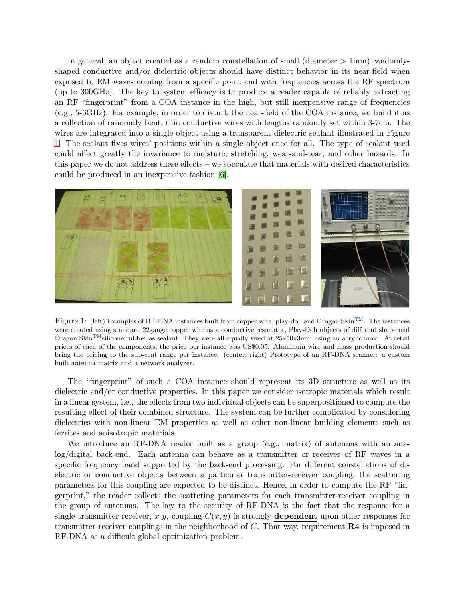In general, an object created as a random constellation of small (diameter > 1mm) randomlyshaped conductive and/or dielectric objects should have distinct behavior in its near-field when exposed to EM waves coming from a specific point and with frequencies across the RF spectrum (up to 300GHz). The key to system efficacy is to produce a reader capable of reliably extracting an RF "fingerprint" from a COA instance in the high, but still inexpensive range of frequencies (e.g., 5-6GHz). For example, in order to disturb the near-field of the COA instance, we build it as a collection of randomly bent, thin conductive wires with lengths randomly set within 3-7cm. The wires are integrated into a single object using a transparent dielectric sealant illustrated in Figure [1.](#page-2-0) The sealant fixes wires' positions within a single object once for all. The type of sealant used could affect greatly the invariance to moisture, stretching, wear-and-tear, and other hazards. In this paper we do not address these effects – we speculate that materials with desired characteristics could be produced in an inexpensive fashion [\[6\]](#page-11-5).



<span id="page-2-0"></span>Figure 1: (left) Examples of RF-DNA instances built from copper wire, play-doh and Dragon Skin<sup>TM</sup>. The instances were created using standard 22gauge copper wire as a conductive resonator, Play-Doh objects of different shape and Dragon Skin<sup>TM</sup>silicone rubber as sealant. They were all equally sized at  $25x50x3mm$  using an acrylic mold. At retail prices of each of the components, the price per instance was US\$0.05. Aluminum wire and mass production should bring the pricing to the sub-cent range per instance. (center, right) Prototype of an RF-DNA scanner: a custom built antenna matrix and a network analyzer.

The "fingerprint" of such a COA instance should represent its 3D structure as well as its dielectric and/or conductive properties. In this paper we consider isotropic materials which result in a linear system, i.e., the effects from two individual objects can be superpositioned to compute the resulting effect of their combined structure. The system can be further complicated by considering dielectrics with non-linear EM properties as well as other non-linear building elements such as ferrites and anisotropic materials.

We introduce an RF-DNA reader built as a group (e.g., matrix) of antennas with an analog/digital back-end. Each antenna can behave as a transmitter or receiver of RF waves in a specific frequency band supported by the back-end processing. For different constellations of dielectric or conductive objects between a particular transmitter-receiver coupling, the scattering parameters for this coupling are expected to be distinct. Hence, in order to compute the RF "fingerprint," the reader collects the scattering parameters for each transmitter-receiver coupling in the group of antennas. The key to the security of RF-DNA is the fact that the response for a single transmitter-receiver, x-y, coupling  $C(x, y)$  is strongly dependent upon other responses for transmitter-receiver couplings in the neighborhood of  $C$ . That way, requirement  $\mathbf{R4}$  is imposed in RF-DNA as a difficult global optimization problem.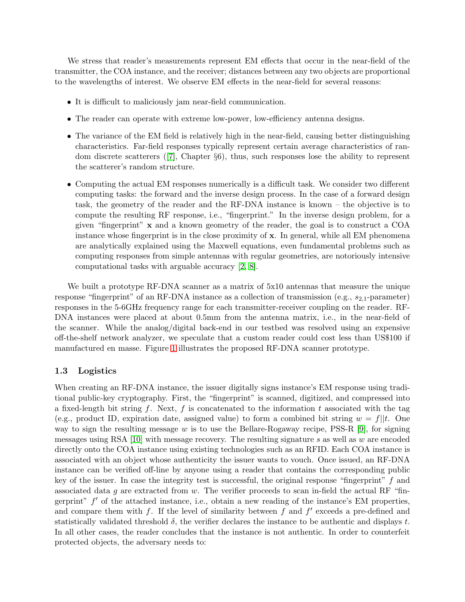We stress that reader's measurements represent EM effects that occur in the near-field of the transmitter, the COA instance, and the receiver; distances between any two objects are proportional to the wavelengths of interest. We observe EM effects in the near-field for several reasons:

- It is difficult to maliciously jam near-field communication.
- The reader can operate with extreme low-power, low-efficiency antenna designs.
- The variance of the EM field is relatively high in the near-field, causing better distinguishing characteristics. Far-field responses typically represent certain average characteristics of random discrete scatterers ([\[7\]](#page-11-6), Chapter §6), thus, such responses lose the ability to represent the scatterer's random structure.
- Computing the actual EM responses numerically is a difficult task. We consider two different computing tasks: the forward and the inverse design process. In the case of a forward design task, the geometry of the reader and the RF-DNA instance is known – the objective is to compute the resulting RF response, i.e., "fingerprint." In the inverse design problem, for a given "fingerprint" x and a known geometry of the reader, the goal is to construct a COA instance whose fingerprint is in the close proximity of x. In general, while all EM phenomena are analytically explained using the Maxwell equations, even fundamental problems such as computing responses from simple antennas with regular geometries, are notoriously intensive computational tasks with arguable accuracy [\[2,](#page-11-1) [8\]](#page-11-7).

We built a prototype RF-DNA scanner as a matrix of  $5x10$  antennas that measure the unique response "fingerprint" of an RF-DNA instance as a collection of transmission (e.g.,  $s_{2,1}$ -parameter) responses in the 5-6GHz frequency range for each transmitter-receiver coupling on the reader. RF-DNA instances were placed at about 0.5mm from the antenna matrix, i.e., in the near-field of the scanner. While the analog/digital back-end in our testbed was resolved using an expensive off-the-shelf network analyzer, we speculate that a custom reader could cost less than US\$100 if manufactured en masse. Figure [1](#page-2-0) illustrates the proposed RF-DNA scanner prototype.

### 1.3 Logistics

When creating an RF-DNA instance, the issuer digitally signs instance's EM response using traditional public-key cryptography. First, the "fingerprint" is scanned, digitized, and compressed into a fixed-length bit string f. Next, f is concatenated to the information t associated with the tag (e.g., product ID, expiration date, assigned value) to form a combined bit string  $w = f||t$ . One way to sign the resulting message w is to use the Bellare-Rogaway recipe, PSS-R  $[9]$ , for signing messages using RSA [\[10\]](#page-11-9) with message recovery. The resulting signature s as well as w are encoded directly onto the COA instance using existing technologies such as an RFID. Each COA instance is associated with an object whose authenticity the issuer wants to vouch. Once issued, an RF-DNA instance can be verified off-line by anyone using a reader that contains the corresponding public key of the issuer. In case the integrity test is successful, the original response "fingerprint" f and associated data g are extracted from  $w$ . The verifier proceeds to scan in-field the actual RF "fingerprint"  $f'$  of the attached instance, i.e., obtain a new reading of the instance's EM properties, and compare them with  $f$ . If the level of similarity between  $f$  and  $f'$  exceeds a pre-defined and statistically validated threshold  $\delta$ , the verifier declares the instance to be authentic and displays t. In all other cases, the reader concludes that the instance is not authentic. In order to counterfeit protected objects, the adversary needs to: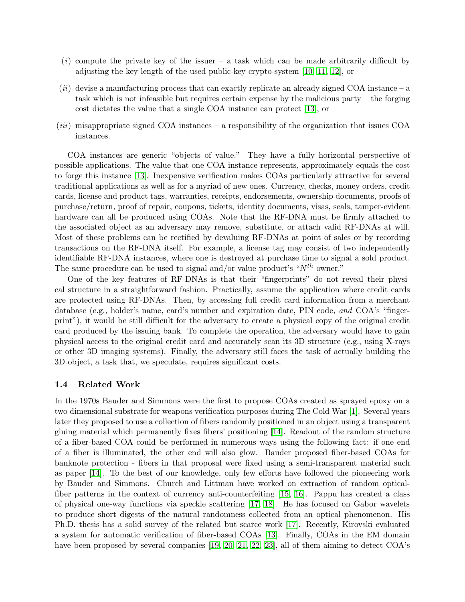- $(i)$  compute the private key of the issuer a task which can be made arbitrarily difficult by adjusting the key length of the used public-key crypto-system [\[10,](#page-11-9) [11,](#page-11-10) [12\]](#page-11-11), or
- $(ii)$  devise a manufacturing process that can exactly replicate an already signed COA instance a task which is not infeasible but requires certain expense by the malicious party – the forging cost dictates the value that a single COA instance can protect [\[13\]](#page-11-12), or
- (iii) misappropriate signed COA instances a responsibility of the organization that issues COA instances.

COA instances are generic "objects of value." They have a fully horizontal perspective of possible applications. The value that one COA instance represents, approximately equals the cost to forge this instance [\[13\]](#page-11-12). Inexpensive verification makes COAs particularly attractive for several traditional applications as well as for a myriad of new ones. Currency, checks, money orders, credit cards, license and product tags, warranties, receipts, endorsements, ownership documents, proofs of purchase/return, proof of repair, coupons, tickets, identity documents, visas, seals, tamper-evident hardware can all be produced using COAs. Note that the RF-DNA must be firmly attached to the associated object as an adversary may remove, substitute, or attach valid RF-DNAs at will. Most of these problems can be rectified by devaluing RF-DNAs at point of sales or by recording transactions on the RF-DNA itself. For example, a license tag may consist of two independently identifiable RF-DNA instances, where one is destroyed at purchase time to signal a sold product. The same procedure can be used to signal and/or value product's " $N^{th}$  owner."

One of the key features of RF-DNAs is that their "fingerprints" do not reveal their physical structure in a straightforward fashion. Practically, assume the application where credit cards are protected using RF-DNAs. Then, by accessing full credit card information from a merchant database (e.g., holder's name, card's number and expiration date, PIN code, and COA's "fingerprint"), it would be still difficult for the adversary to create a physical copy of the original credit card produced by the issuing bank. To complete the operation, the adversary would have to gain physical access to the original credit card and accurately scan its 3D structure (e.g., using X-rays or other 3D imaging systems). Finally, the adversary still faces the task of actually building the 3D object, a task that, we speculate, requires significant costs.

### 1.4 Related Work

In the 1970s Bauder and Simmons were the first to propose COAs created as sprayed epoxy on a two dimensional substrate for weapons verification purposes during The Cold War [\[1\]](#page-11-0). Several years later they proposed to use a collection of fibers randomly positioned in an object using a transparent gluing material which permanently fixes fibers' positioning [\[14\]](#page-11-13). Readout of the random structure of a fiber-based COA could be performed in numerous ways using the following fact: if one end of a fiber is illuminated, the other end will also glow. Bauder proposed fiber-based COAs for banknote protection - fibers in that proposal were fixed using a semi-transparent material such as paper [\[14\]](#page-11-13). To the best of our knowledge, only few efforts have followed the pioneering work by Bauder and Simmons. Church and Littman have worked on extraction of random opticalfiber patterns in the context of currency anti-counterfeiting [\[15,](#page-11-14) [16\]](#page-11-15). Pappu has created a class of physical one-way functions via speckle scattering [\[17,](#page-11-16) [18\]](#page-11-17). He has focused on Gabor wavelets to produce short digests of the natural randomness collected from an optical phenomenon. His Ph.D. thesis has a solid survey of the related but scarce work [\[17\]](#page-11-16). Recently, Kirovski evaluated a system for automatic verification of fiber-based COAs [\[13\]](#page-11-12). Finally, COAs in the EM domain have been proposed by several companies [\[19,](#page-12-0) [20,](#page-12-1) [21,](#page-12-2) [22,](#page-12-3) [23\]](#page-12-4), all of them aiming to detect COA's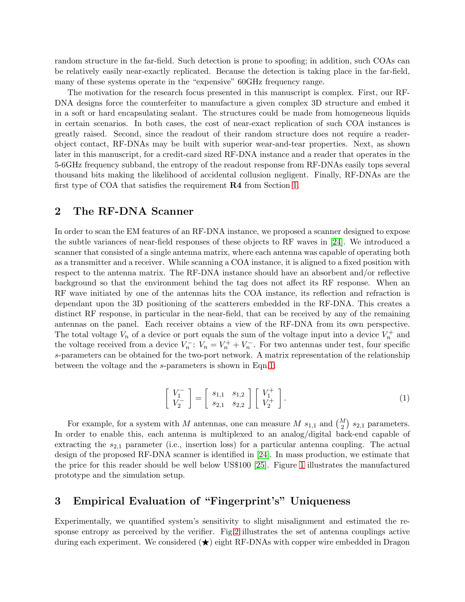random structure in the far-field. Such detection is prone to spoofing; in addition, such COAs can be relatively easily near-exactly replicated. Because the detection is taking place in the far-field, many of these systems operate in the "expensive" 60GHz frequency range.

The motivation for the research focus presented in this manuscript is complex. First, our RF-DNA designs force the counterfeiter to manufacture a given complex 3D structure and embed it in a soft or hard encapsulating sealant. The structures could be made from homogeneous liquids in certain scenarios. In both cases, the cost of near-exact replication of such COA instances is greatly raised. Second, since the readout of their random structure does not require a readerobject contact, RF-DNAs may be built with superior wear-and-tear properties. Next, as shown later in this manuscript, for a credit-card sized RF-DNA instance and a reader that operates in the 5-6GHz frequency subband, the entropy of the readout response from RF-DNAs easily tops several thousand bits making the likelihood of accidental collusion negligent. Finally, RF-DNAs are the first type of COA that satisfies the requirement R4 from Section [1.](#page-0-3)

### 2 The RF-DNA Scanner

In order to scan the EM features of an RF-DNA instance, we proposed a scanner designed to expose the subtle variances of near-field responses of these objects to RF waves in [\[24\]](#page-12-5). We introduced a scanner that consisted of a single antenna matrix, where each antenna was capable of operating both as a transmitter and a receiver. While scanning a COA instance, it is aligned to a fixed position with respect to the antenna matrix. The RF-DNA instance should have an absorbent and/or reflective background so that the environment behind the tag does not affect its RF response. When an RF wave initiated by one of the antennas hits the COA instance, its reflection and refraction is dependant upon the 3D positioning of the scatterers embedded in the RF-DNA. This creates a distinct RF response, in particular in the near-field, that can be received by any of the remaining antennas on the panel. Each receiver obtains a view of the RF-DNA from its own perspective. The total voltage  $V_n$  of a device or port equals the sum of the voltage input into a device  $V_n^+$  and the voltage received from a device  $V_n^-: V_n = V_n^+ + V_n^-$ . For two antennas under test, four specific s-parameters can be obtained for the two-port network. A matrix representation of the relationship between the voltage and the s-parameters is shown in Eqn[.1:](#page-5-0)

<span id="page-5-0"></span>
$$
\begin{bmatrix} V_1^- \\ V_2^- \end{bmatrix} = \begin{bmatrix} s_{1,1} & s_{1,2} \\ s_{2,1} & s_{2,2} \end{bmatrix} \begin{bmatrix} V_1^+ \\ V_2^+ \end{bmatrix} . \tag{1}
$$

For example, for a system with M antennas, one can measure M  $s_{1,1}$  and  $\binom{M}{2} s_{2,1}$  parameters. In order to enable this, each antenna is multiplexed to an analog/digital back-end capable of extracting the  $s_{2,1}$  parameter (i.e., insertion loss) for a particular antenna coupling. The actual design of the proposed RF-DNA scanner is identified in [\[24\]](#page-12-5). In mass production, we estimate that the price for this reader should be well below US\$100 [\[25\]](#page-12-6). Figure [1](#page-2-0) illustrates the manufactured prototype and the simulation setup.

# <span id="page-5-1"></span>3 Empirical Evaluation of "Fingerprint's" Uniqueness

Experimentally, we quantified system's sensitivity to slight misalignment and estimated the response entropy as perceived by the verifier. Fig[.2](#page-6-0) illustrates the set of antenna couplings active during each experiment. We considered  $(\bigstar)$  eight RF-DNAs with copper wire embedded in Dragon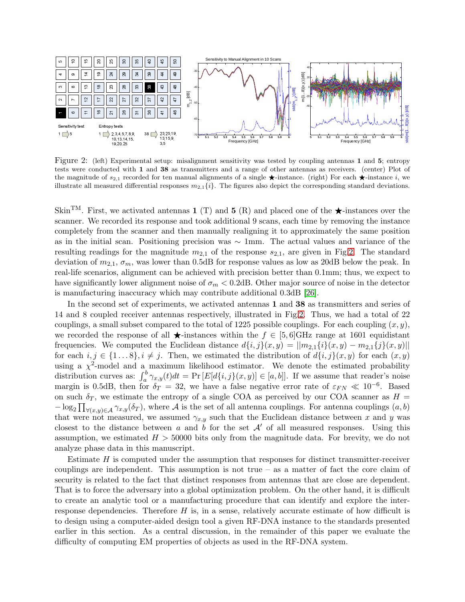

<span id="page-6-0"></span>Figure 2: (left) Experimental setup: misalignment sensitivity was tested by coupling antennas 1 and 5; entropy tests were conducted with 1 and 38 as transmitters and a range of other antennas as receivers. (center) Plot of the magnitude of  $s_{2,1}$  recorded for ten manual alignments of a single  $\star$ -instance. (right) For each  $\star$ -instance i, we illustrate all measured differential responses  $m_{2,1} \{i\}$ . The figures also depict the corresponding standard deviations.

Skin<sup>TM</sup>. First, we activated antennas 1 (T) and 5 (R) and placed one of the  $\star$ -instances over the scanner. We recorded its response and took additional 9 scans, each time by removing the instance completely from the scanner and then manually realigning it to approximately the same position as in the initial scan. Positioning precision was ∼ 1mm. The actual values and variance of the resulting readings for the magnitude  $m_{2,1}$  of the response  $s_{2,1}$ , are given in Fig[.2.](#page-6-0) The standard deviation of  $m_{2,1}$ ,  $\sigma_m$ , was lower than 0.5dB for response values as low as 20dB below the peak. In real-life scenarios, alignment can be achieved with precision better than 0.1mm; thus, we expect to have significantly lower alignment noise of  $\sigma_m < 0.2$ dB. Other major source of noise in the detector is manufacturing inaccuracy which may contribute additional 0.3dB [\[26\]](#page-12-7).

In the second set of experiments, we activated antennas 1 and 38 as transmitters and series of 14 and 8 coupled receiver antennas respectively, illustrated in Fig[.2.](#page-6-0) Thus, we had a total of 22 couplings, a small subset compared to the total of 1225 possible couplings. For each coupling  $(x, y)$ , we recorded the response of all  $\bigstar$ -instances within the  $f \in [5, 6]$ GHz range at 1601 equidistant frequencies. We computed the Euclidean distance  $d\{i, j\}(x, y) = ||m_{2,1}\{i\}(x, y) - m_{2,1}\{j\}(x, y)||$ for each  $i, j \in \{1...8\}, i \neq j$ . Then, we estimated the distribution of  $d\{i, j\}(x, y)$  for each  $(x, y)$ using a  $\chi^2$ -model and a maximum likelihood estimator. We denote the estimated probability distribution curves as:  $\int_a^b \gamma_{x,y}(t)dt = \Pr[E[d\{i,j\}(x,y)] \in [a,b]]$ . If we assume that reader's noise margin is 0.5dB, then for  $\delta_T = 32$ , we have a false negative error rate of  $\varepsilon_{FN} \ll 10^{-6}$ . Based on such  $\delta_T$ , we estimate the entropy of a single COA as perceived by our COA scanner as  $H =$  $-\log_2 \prod_{\forall (x,y)\in\mathcal{A}} \gamma_{x,y}(\delta_T)$ , where A is the set of all antenna couplings. For antenna couplings  $(a,b)$ that were not measured, we assumed  $\gamma_{x,y}$  such that the Euclidean distance between x and y was closest to the distance between a and b for the set  $\mathcal{A}'$  of all measured responses. Using this assumption, we estimated  $H > 50000$  bits only from the magnitude data. For brevity, we do not analyze phase data in this manuscript.

Estimate  $H$  is computed under the assumption that responses for distinct transmitter-receiver couplings are independent. This assumption is not true – as a matter of fact the core claim of security is related to the fact that distinct responses from antennas that are close are dependent. That is to force the adversary into a global optimization problem. On the other hand, it is difficult to create an analytic tool or a manufacturing procedure that can identify and explore the interresponse dependencies. Therefore  $H$  is, in a sense, relatively accurate estimate of how difficult is to design using a computer-aided design tool a given RF-DNA instance to the standards presented earlier in this section. As a central discussion, in the remainder of this paper we evaluate the difficulty of computing EM properties of objects as used in the RF-DNA system.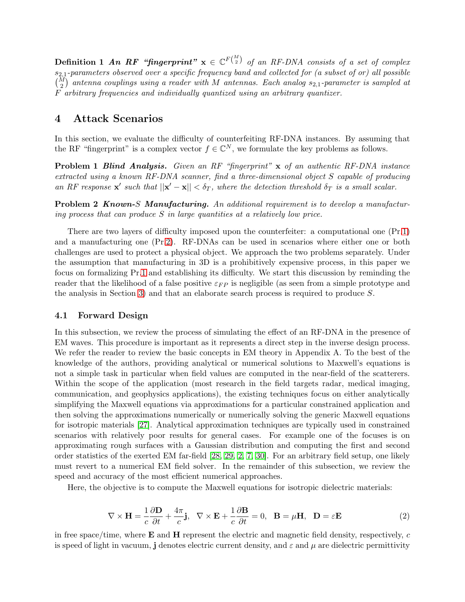**Definition 1 An RF "fingerprint"**  $\mathbf{x} \in \mathbb{C}^{F(\frac{M}{2})}$  of an RF-DNA consists of a set of complex  $s_{2,1}$ -parameters observed over a specific frequency band and collected for (a subset of or) all possible  $\binom{M}{2}$  antenna couplings using a reader with M antennas. Each analog  $s_{2,1}$ -parameter is sampled at F arbitrary frequencies and individually quantized using an arbitrary quantizer.

### 4 Attack Scenarios

<span id="page-7-0"></span>In this section, we evaluate the difficulty of counterfeiting RF-DNA instances. By assuming that the RF "fingerprint" is a complex vector  $f \in \mathbb{C}^N$ , we formulate the key problems as follows.

**Problem 1 Blind Analysis.** Given an RF "fingerprint"  $x$  of an authentic RF-DNA instance extracted using a known RF-DNA scanner, find a three-dimensional object S capable of producing an RF response  $\mathbf{x}'$  such that  $||\mathbf{x}' - \mathbf{x}|| < \delta_T$ , where the detection threshold  $\delta_T$  is a small scalar.

<span id="page-7-1"></span>Problem 2 Known-S Manufacturing. An additional requirement is to develop a manufacturing process that can produce S in large quantities at a relatively low price.

There are two layers of difficulty imposed upon the counterfeiter: a computational one (Pr[.1\)](#page-7-0) and a manufacturing one (Pr[.2\)](#page-7-1). RF-DNAs can be used in scenarios where either one or both challenges are used to protect a physical object. We approach the two problems separately. Under the assumption that manufacturing in 3D is a prohibitively expensive process, in this paper we focus on formalizing Pr[.1](#page-7-0) and establishing its difficulty. We start this discussion by reminding the reader that the likelihood of a false positive  $\varepsilon_{FP}$  is negligible (as seen from a simple prototype and the analysis in Section [3\)](#page-5-1) and that an elaborate search process is required to produce S.

### 4.1 Forward Design

In this subsection, we review the process of simulating the effect of an RF-DNA in the presence of EM waves. This procedure is important as it represents a direct step in the inverse design process. We refer the reader to review the basic concepts in EM theory in Appendix A. To the best of the knowledge of the authors, providing analytical or numerical solutions to Maxwell's equations is not a simple task in particular when field values are computed in the near-field of the scatterers. Within the scope of the application (most research in the field targets radar, medical imaging, communication, and geophysics applications), the existing techniques focus on either analytically simplifying the Maxwell equations via approximations for a particular constrained application and then solving the approximations numerically or numerically solving the generic Maxwell equations for isotropic materials [\[27\]](#page-12-8). Analytical approximation techniques are typically used in constrained scenarios with relatively poor results for general cases. For example one of the focuses is on approximating rough surfaces with a Gaussian distribution and computing the first and second order statistics of the exerted EM far-field [\[28,](#page-12-9) [29,](#page-12-10) [2,](#page-11-1) [7,](#page-11-6) [30\]](#page-12-11). For an arbitrary field setup, one likely must revert to a numerical EM field solver. In the remainder of this subsection, we review the speed and accuracy of the most efficient numerical approaches.

Here, the objective is to compute the Maxwell equations for isotropic dielectric materials:

<span id="page-7-2"></span>
$$
\nabla \times \mathbf{H} = \frac{1}{c} \frac{\partial \mathbf{D}}{\partial t} + \frac{4\pi}{c} \mathbf{j}, \quad \nabla \times \mathbf{E} + \frac{1}{c} \frac{\partial \mathbf{B}}{\partial t} = 0, \quad \mathbf{B} = \mu \mathbf{H}, \quad \mathbf{D} = \varepsilon \mathbf{E}
$$
 (2)

in free space/time, where  $\bf{E}$  and  $\bf{H}$  represent the electric and magnetic field density, respectively, c is speed of light in vacuum, j denotes electric current density, and  $\varepsilon$  and  $\mu$  are dielectric permittivity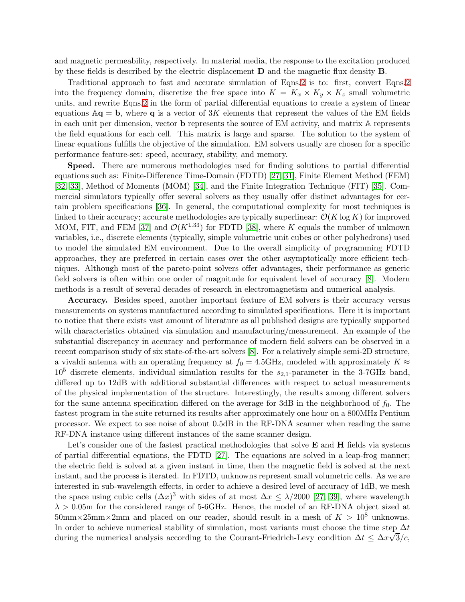and magnetic permeability, respectively. In material media, the response to the excitation produced by these fields is described by the electric displacement D and the magnetic flux density B.

Traditional approach to fast and accurate simulation of Eqns[.2](#page-7-2) is to: first, convert Eqns[.2](#page-7-2) into the frequency domain, discretize the free space into  $K = K_x \times K_y \times K_z$  small volumetric units, and rewrite Eqns[.2](#page-7-2) in the form of partial differential equations to create a system of linear equations  $\mathbb{A}_{q} = \mathbf{b}$ , where q is a vector of 3K elements that represent the values of the EM fields in each unit per dimension, vector b represents the source of EM activity, and matrix A represents the field equations for each cell. This matrix is large and sparse. The solution to the system of linear equations fulfills the objective of the simulation. EM solvers usually are chosen for a specific performance feature-set: speed, accuracy, stability, and memory.

Speed. There are numerous methodologies used for finding solutions to partial differential equations such as: Finite-Difference Time-Domain (FDTD) [\[27,](#page-12-8) [31\]](#page-12-12), Finite Element Method (FEM) [\[32,](#page-12-13) [33\]](#page-12-14), Method of Moments (MOM) [\[34\]](#page-12-15), and the Finite Integration Technique (FIT) [\[35\]](#page-12-16). Commercial simulators typically offer several solvers as they usually offer distinct advantages for certain problem specifications [\[36\]](#page-12-17). In general, the computational complexity for most techniques is linked to their accuracy; accurate methodologies are typically superlinear:  $\mathcal{O}(K \log K)$  for improved MOM, FIT, and FEM [\[37\]](#page-12-18) and  $\mathcal{O}(K^{1.33})$  for FDTD [\[38\]](#page-12-19), where K equals the number of unknown variables, i.e., discrete elements (typically, simple volumetric unit cubes or other polyhedrons) used to model the simulated EM environment. Due to the overall simplicity of programming FDTD approaches, they are preferred in certain cases over the other asymptotically more efficient techniques. Although most of the pareto-point solvers offer advantages, their performance as generic field solvers is often within one order of magnitude for equivalent level of accuracy [\[8\]](#page-11-7). Modern methods is a result of several decades of research in electromagnetism and numerical analysis.

Accuracy. Besides speed, another important feature of EM solvers is their accuracy versus measurements on systems manufactured according to simulated specifications. Here it is important to notice that there exists vast amount of literature as all published designs are typically supported with characteristics obtained via simulation and manufacturing/measurement. An example of the substantial discrepancy in accuracy and performance of modern field solvers can be observed in a recent comparison study of six state-of-the-art solvers [\[8\]](#page-11-7). For a relatively simple semi-2D structure, a vivaldi antenna with an operating frequency at  $f_0 = 4.5 \text{GHz}$ , modeled with approximately  $K \approx$  $10^5$  discrete elements, individual simulation results for the  $s_{2,1}$ -parameter in the 3-7GHz band, differed up to 12dB with additional substantial differences with respect to actual measurements of the physical implementation of the structure. Interestingly, the results among different solvers for the same antenna specification differed on the average for  $3d\vec{B}$  in the neighborhood of  $f_0$ . The fastest program in the suite returned its results after approximately one hour on a 800MHz Pentium processor. We expect to see noise of about 0.5dB in the RF-DNA scanner when reading the same RF-DNA instance using different instances of the same scanner design.

Let's consider one of the fastest practical methodologies that solve  $E$  and  $H$  fields via systems of partial differential equations, the FDTD [\[27\]](#page-12-8). The equations are solved in a leap-frog manner; the electric field is solved at a given instant in time, then the magnetic field is solved at the next instant, and the process is iterated. In FDTD, unknowns represent small volumetric cells. As we are interested in sub-wavelength effects, in order to achieve a desired level of accuracy of 1dB, we mesh the space using cubic cells  $(\Delta x)^3$  with sides of at most  $\Delta x \leq \lambda/2000$  [\[27,](#page-12-8) [39\]](#page-12-20), where wavelength  $\lambda > 0.05$ m for the considered range of 5-6GHz. Hence, the model of an RF-DNA object sized at  $50 \text{mm} \times 25 \text{mm} \times 2 \text{mm}$  and placed on our reader, should result in a mesh of  $K > 10^8$  unknowns. In order to achieve numerical stability of simulation, most variants must choose the time step  $\Delta t$ during the numerical analysis according to the Courant-Friedrich-Levy condition  $\Delta t \leq \Delta x \sqrt{3}/c$ ,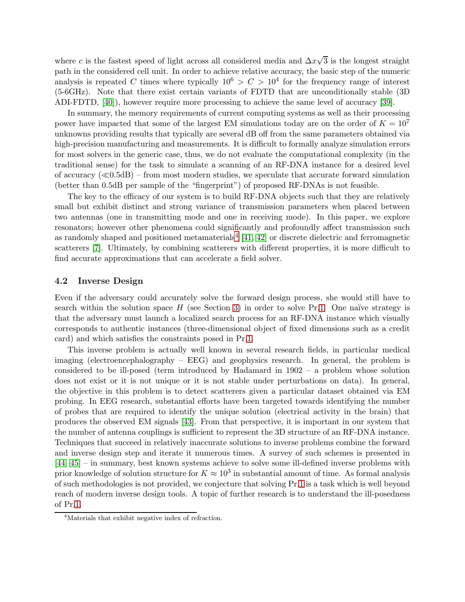where c is the fastest speed of light across all considered media and  $\Delta x \sqrt{3}$  is the longest straight path in the considered cell unit. In order to achieve relative accuracy, the basic step of the numeric analysis is repeated C times where typically  $10^6 > C > 10^4$  for the frequency range of interest (5-6GHz). Note that there exist certain variants of FDTD that are unconditionally stable (3D ADI-FDTD, [\[40\]](#page-12-21)), however require more processing to achieve the same level of accuracy [\[39\]](#page-12-20).

In summary, the memory requirements of current computing systems as well as their processing power have impacted that some of the largest EM simulations today are on the order of  $K = 10^{7}$ unknowns providing results that typically are several dB off from the same parameters obtained via high-precision manufacturing and measurements. It is difficult to formally analyze simulation errors for most solvers in the generic case, thus, we do not evaluate the computational complexity (in the traditional sense) for the task to simulate a scanning of an RF-DNA instance for a desired level of accuracy  $(\ll 0.5d)$  – from most modern studies, we speculate that accurate forward simulation (better than 0.5dB per sample of the "fingerprint") of proposed RF-DNAs is not feasible.

The key to the efficacy of our system is to build RF-DNA objects such that they are relatively small but exhibit distinct and strong variance of transmission parameters when placed between two antennas (one in transmitting mode and one in receiving mode). In this paper, we explore resonators; however other phenomena could significantly and profoundly affect transmission such as randomly shaped and positioned metamaterials<sup>[4](#page-9-0)</sup>  $[41, 42]$  $[41, 42]$  or discrete dielectric and ferromagnetic scatterers [\[7\]](#page-11-6). Ultimately, by combining scatterers with different properties, it is more difficult to find accurate approximations that can accelerate a field solver.

### 4.2 Inverse Design

Even if the adversary could accurately solve the forward design process, she would still have to search within the solution space  $H$  (see Section [3\)](#page-5-1) in order to solve Pr[.1.](#page-7-0) One naïve strategy is that the adversary must launch a localized search process for an RF-DNA instance which visually corresponds to authentic instances (three-dimensional object of fixed dimensions such as a credit card) and which satisfies the constraints posed in Pr[.1.](#page-7-0)

This inverse problem is actually well known in several research fields, in particular medical imaging (electroencephalography – EEG) and geophysics research. In general, the problem is considered to be ill-posed (term introduced by Hadamard in 1902 – a problem whose solution does not exist or it is not unique or it is not stable under perturbations on data). In general, the objective in this problem is to detect scatterers given a particular dataset obtained via EM probing. In EEG research, substantial efforts have been targeted towards identifying the number of probes that are required to identify the unique solution (electrical activity in the brain) that produces the observed EM signals [\[43\]](#page-12-24). From that perspective, it is important in our system that the number of antenna couplings is sufficient to represent the 3D structure of an RF-DNA instance. Techniques that succeed in relatively inaccurate solutions to inverse problems combine the forward and inverse design step and iterate it numerous times. A survey of such schemes is presented in [\[44,](#page-12-25) [45\]](#page-12-26) – in summary, best known systems achieve to solve some ill-defined inverse problems with prior knowledge of solution structure for  $K \approx 10^3$  in substantial amount of time. As formal analysis of such methodologies is not provided, we conjecture that solving Pr[.1](#page-7-0) is a task which is well beyond reach of modern inverse design tools. A topic of further research is to understand the ill-posedness of Pr[.1.](#page-7-0)

<span id="page-9-0"></span><sup>4</sup>Materials that exhibit negative index of refraction.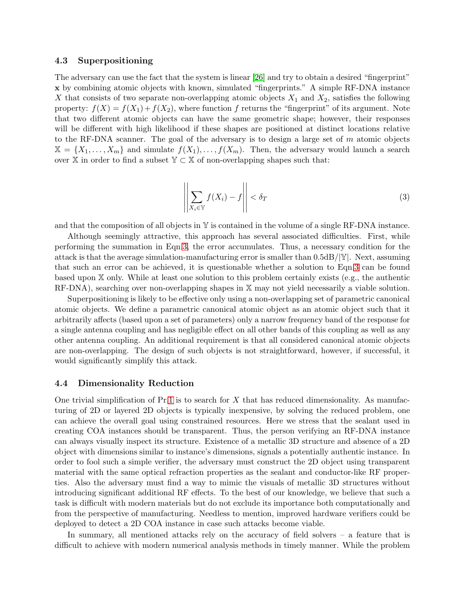#### 4.3 Superpositioning

The adversary can use the fact that the system is linear [\[26\]](#page-12-7) and try to obtain a desired "fingerprint" x by combining atomic objects with known, simulated "fingerprints." A simple RF-DNA instance X that consists of two separate non-overlapping atomic objects  $X_1$  and  $X_2$ , satisfies the following property:  $f(X) = f(X_1) + f(X_2)$ , where function f returns the "fingerprint" of its argument. Note that two different atomic objects can have the same geometric shape; however, their responses will be different with high likelihood if these shapes are positioned at distinct locations relative to the RF-DNA scanner. The goal of the adversary is to design a large set of  $m$  atomic objects  $\mathbb{X} = \{X_1, \ldots, X_m\}$  and simulate  $f(X_1), \ldots, f(X_m)$ . Then, the adversary would launch a search over X in order to find a subset  $\mathbb{Y} \subset \mathbb{X}$  of non-overlapping shapes such that:

<span id="page-10-0"></span>
$$
\left\| \sum_{X_i \in \mathbb{Y}} f(X_i) - f \right\| < \delta_T \tag{3}
$$

and that the composition of all objects in Y is contained in the volume of a single RF-DNA instance.

Although seemingly attractive, this approach has several associated difficulties. First, while performing the summation in Eqn[.3,](#page-10-0) the error accumulates. Thus, a necessary condition for the attack is that the average simulation-manufacturing error is smaller than  $0.5dB/|\mathbb{Y}|$ . Next, assuming that such an error can be achieved, it is questionable whether a solution to Eqn[.3](#page-10-0) can be found based upon X only. While at least one solution to this problem certainly exists (e.g., the authentic RF-DNA), searching over non-overlapping shapes in X may not yield necessarily a viable solution.

Superpositioning is likely to be effective only using a non-overlapping set of parametric canonical atomic objects. We define a parametric canonical atomic object as an atomic object such that it arbitrarily affects (based upon a set of parameters) only a narrow frequency band of the response for a single antenna coupling and has negligible effect on all other bands of this coupling as well as any other antenna coupling. An additional requirement is that all considered canonical atomic objects are non-overlapping. The design of such objects is not straightforward, however, if successful, it would significantly simplify this attack.

### 4.4 Dimensionality Reduction

One trivial simplification of  $Pr.1$  $Pr.1$  is to search for X that has reduced dimensionality. As manufacturing of 2D or layered 2D objects is typically inexpensive, by solving the reduced problem, one can achieve the overall goal using constrained resources. Here we stress that the sealant used in creating COA instances should be transparent. Thus, the person verifying an RF-DNA instance can always visually inspect its structure. Existence of a metallic 3D structure and absence of a 2D object with dimensions similar to instance's dimensions, signals a potentially authentic instance. In order to fool such a simple verifier, the adversary must construct the 2D object using transparent material with the same optical refraction properties as the sealant and conductor-like RF properties. Also the adversary must find a way to mimic the visuals of metallic 3D structures without introducing significant additional RF effects. To the best of our knowledge, we believe that such a task is difficult with modern materials but do not exclude its importance both computationally and from the perspective of manufacturing. Needless to mention, improved hardware verifiers could be deployed to detect a 2D COA instance in case such attacks become viable.

In summary, all mentioned attacks rely on the accuracy of field solvers – a feature that is difficult to achieve with modern numerical analysis methods in timely manner. While the problem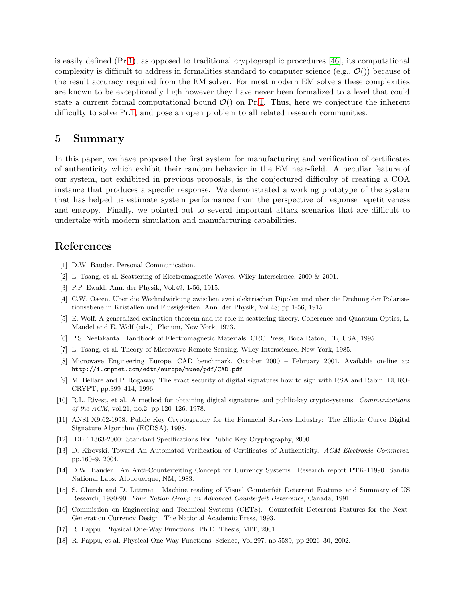is easily defined (Pr[.1\)](#page-7-0), as opposed to traditional cryptographic procedures [\[46\]](#page-12-27), its computational complexity is difficult to address in formalities standard to computer science (e.g.,  $\mathcal{O}(t)$ ) because of the result accuracy required from the EM solver. For most modern EM solvers these complexities are known to be exceptionally high however they have never been formalized to a level that could state a current formal computational bound  $\mathcal{O}(n)$  on Pr[.1.](#page-7-0) Thus, here we conjecture the inherent difficulty to solve Pr[.1,](#page-7-0) and pose an open problem to all related research communities.

### 5 Summary

In this paper, we have proposed the first system for manufacturing and verification of certificates of authenticity which exhibit their random behavior in the EM near-field. A peculiar feature of our system, not exhibited in previous proposals, is the conjectured difficulty of creating a COA instance that produces a specific response. We demonstrated a working prototype of the system that has helped us estimate system performance from the perspective of response repetitiveness and entropy. Finally, we pointed out to several important attack scenarios that are difficult to undertake with modern simulation and manufacturing capabilities.

# <span id="page-11-0"></span>References

- <span id="page-11-1"></span>[1] D.W. Bauder. Personal Communication.
- <span id="page-11-2"></span>[2] L. Tsang, et al. Scattering of Electromagnetic Waves. Wiley Interscience, 2000 & 2001.
- <span id="page-11-3"></span>[3] P.P. Ewald. Ann. der Physik, Vol.49, 1-56, 1915.
- <span id="page-11-4"></span>[4] C.W. Oseen. Uber die Wechrelwirkung zwischen zwei elektrischen Dipolen und uber die Drehung der Polarisationsebene in Kristallen und Flussigkeiten. Ann. der Physik, Vol.48; pp.1-56, 1915.
- <span id="page-11-5"></span>[5] E. Wolf. A generalized extinction theorem and its role in scattering theory. Coherence and Quantum Optics, L. Mandel and E. Wolf (eds.), Plenum, New York, 1973.
- <span id="page-11-6"></span>[6] P.S. Neelakanta. Handbook of Electromagnetic Materials. CRC Press, Boca Raton, FL, USA, 1995.
- <span id="page-11-7"></span>[7] L. Tsang, et al. Theory of Microwave Remote Sensing. Wiley-Interscience, New York, 1985.
- <span id="page-11-8"></span>[8] Microwave Engineering Europe. CAD benchmark. October 2000 – February 2001. Available on-line at: http://i.cmpnet.com/edtn/europe/mwee/pdf/CAD.pdf
- <span id="page-11-9"></span>[9] M. Bellare and P. Rogaway. The exact security of digital signatures how to sign with RSA and Rabin. EURO-CRYPT, pp.399–414, 1996.
- <span id="page-11-10"></span>[10] R.L. Rivest, et al. A method for obtaining digital signatures and public-key cryptosystems. Communications of the ACM, vol.21, no.2, pp.120–126, 1978.
- <span id="page-11-11"></span>[11] ANSI X9.62-1998. Public Key Cryptography for the Financial Services Industry: The Elliptic Curve Digital Signature Algorithm (ECDSA), 1998.
- <span id="page-11-12"></span>[12] IEEE 1363-2000: Standard Specifications For Public Key Cryptography, 2000.
- <span id="page-11-13"></span>[13] D. Kirovski. Toward An Automated Verification of Certificates of Authenticity. ACM Electronic Commerce, pp.160–9, 2004.
- <span id="page-11-14"></span>[14] D.W. Bauder. An Anti-Counterfeiting Concept for Currency Systems. Research report PTK-11990. Sandia National Labs. Albuquerque, NM, 1983.
- <span id="page-11-15"></span>[15] S. Church and D. Littman. Machine reading of Visual Counterfeit Deterrent Features and Summary of US Research, 1980-90. Four Nation Group on Advanced Counterfeit Deterrence, Canada, 1991.
- <span id="page-11-16"></span>[16] Commission on Engineering and Technical Systems (CETS). Counterfeit Deterrent Features for the Next-Generation Currency Design. The National Academic Press, 1993.
- <span id="page-11-17"></span>[17] R. Pappu. Physical One-Way Functions. Ph.D. Thesis, MIT, 2001.
- [18] R. Pappu, et al. Physical One-Way Functions. Science, Vol.297, no.5589, pp.2026–30, 2002.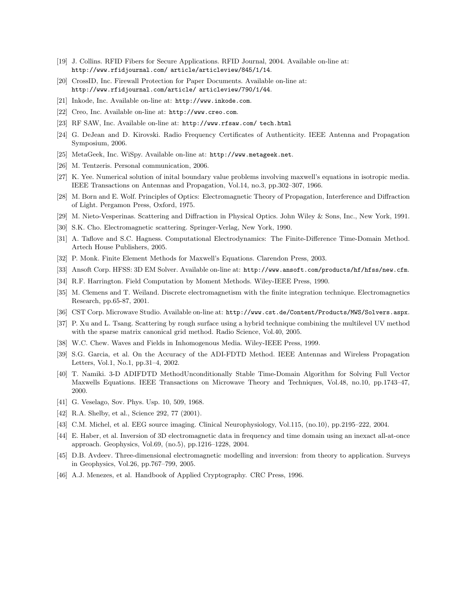- <span id="page-12-1"></span><span id="page-12-0"></span>[19] J. Collins. RFID Fibers for Secure Applications. RFID Journal, 2004. Available on-line at: http://www.rfidjournal.com/ article/articleview/845/1/14.
- <span id="page-12-2"></span>[20] CrossID, Inc. Firewall Protection for Paper Documents. Available on-line at: http://www.rfidjournal.com/article/ articleview/790/1/44.
- <span id="page-12-3"></span>[21] Inkode, Inc. Available on-line at: http://www.inkode.com.
- <span id="page-12-4"></span>[22] Creo, Inc. Available on-line at: http://www.creo.com.
- <span id="page-12-5"></span>[23] RF SAW, Inc. Available on-line at: http://www.rfsaw.com/ tech.html
- <span id="page-12-6"></span>[24] G. DeJean and D. Kirovski. Radio Frequency Certificates of Authenticity. IEEE Antenna and Propagation Symposium, 2006.
- <span id="page-12-7"></span>[25] MetaGeek, Inc. WiSpy. Available on-line at: http://www.metageek.net.
- <span id="page-12-8"></span>[26] M. Tentzeris. Personal communication, 2006.
- <span id="page-12-9"></span>[27] K. Yee. Numerical solution of inital boundary value problems involving maxwell's equations in isotropic media. IEEE Transactions on Antennas and Propagation, Vol.14, no.3, pp.302–307, 1966.
- <span id="page-12-10"></span>[28] M. Born and E. Wolf. Principles of Optics: Electromagnetic Theory of Propagation, Interference and Diffraction of Light. Pergamon Press, Oxford, 1975.
- <span id="page-12-11"></span>[29] M. Nieto-Vesperinas. Scattering and Diffraction in Physical Optics. John Wiley & Sons, Inc., New York, 1991.
- <span id="page-12-12"></span>[30] S.K. Cho. Electromagnetic scattering. Springer-Verlag, New York, 1990.
- <span id="page-12-13"></span>[31] A. Taflove and S.C. Hagness. Computational Electrodynamics: The Finite-Difference Time-Domain Method. Artech House Publishers, 2005.
- <span id="page-12-14"></span>[32] P. Monk. Finite Element Methods for Maxwell's Equations. Clarendon Press, 2003.
- <span id="page-12-15"></span>[33] Ansoft Corp. HFSS: 3D EM Solver. Available on-line at: http://www.ansoft.com/products/hf/hfss/new.cfm.
- <span id="page-12-16"></span>[34] R.F. Harrington. Field Computation by Moment Methods. Wiley-IEEE Press, 1990.
- <span id="page-12-17"></span>[35] M. Clemens and T. Weiland. Discrete electromagnetism with the finite integration technique. Electromagnetics Research, pp.65-87, 2001.
- <span id="page-12-18"></span>[36] CST Corp. Microwave Studio. Available on-line at: http://www.cst.de/Content/Products/MWS/Solvers.aspx.
- <span id="page-12-19"></span>[37] P. Xu and L. Tsang. Scattering by rough surface using a hybrid technique combining the multilevel UV method with the sparse matrix canonical grid method. Radio Science, Vol.40, 2005.
- <span id="page-12-20"></span>[38] W.C. Chew. Waves and Fields in Inhomogenous Media. Wiley-IEEE Press, 1999.
- <span id="page-12-21"></span>[39] S.G. Garcia, et al. On the Accuracy of the ADI-FDTD Method. IEEE Antennas and Wireless Propagation Letters, Vol.1, No.1, pp.31–4, 2002.
- [40] T. Namiki. 3-D ADIFDTD MethodUnconditionally Stable Time-Domain Algorithm for Solving Full Vector Maxwells Equations. IEEE Transactions on Microwave Theory and Techniques, Vol.48, no.10, pp.1743–47, 2000.
- <span id="page-12-23"></span><span id="page-12-22"></span>[41] G. Veselago, Sov. Phys. Usp. 10, 509, 1968.
- <span id="page-12-24"></span>[42] R.A. Shelby, et al., Science 292, 77 (2001).
- <span id="page-12-25"></span>[43] C.M. Michel, et al. EEG source imaging. Clinical Neurophysiology, Vol.115, (no.10), pp.2195–222, 2004.
- <span id="page-12-26"></span>[44] E. Haber, et al. Inversion of 3D electromagnetic data in frequency and time domain using an inexact all-at-once approach. Geophysics, Vol.69, (no.5), pp.1216–1228, 2004.
- <span id="page-12-27"></span>[45] D.B. Avdeev. Three-dimensional electromagnetic modelling and inversion: from theory to application. Surveys in Geophysics, Vol.26, pp.767–799, 2005.
- [46] A.J. Menezes, et al. Handbook of Applied Cryptography. CRC Press, 1996.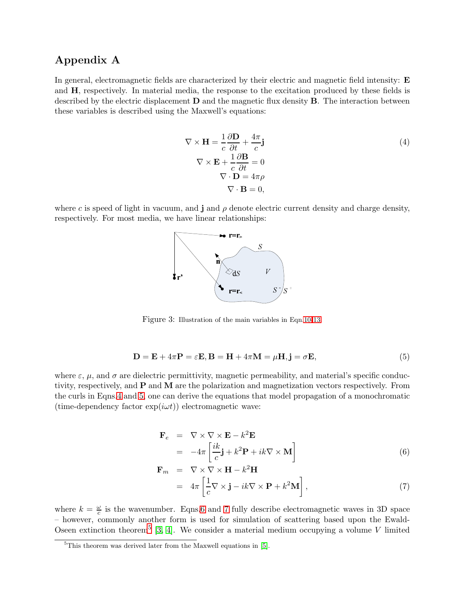# Appendix A

In general, electromagnetic fields are characterized by their electric and magnetic field intensity: E and H, respectively. In material media, the response to the excitation produced by these fields is described by the electric displacement  **and the magnetic flux density**  $**B**$ **. The interaction between** these variables is described using the Maxwell's equations:

<span id="page-13-0"></span>
$$
\nabla \times \mathbf{H} = \frac{1}{c} \frac{\partial \mathbf{D}}{\partial t} + \frac{4\pi}{c} \mathbf{j}
$$
  
\n
$$
\nabla \times \mathbf{E} + \frac{1}{c} \frac{\partial \mathbf{B}}{\partial t} = 0
$$
  
\n
$$
\nabla \cdot \mathbf{D} = 4\pi \rho
$$
  
\n
$$
\nabla \cdot \mathbf{B} = 0,
$$
  
\n(4)

where c is speed of light in vacuum, and j and  $\rho$  denote electric current density and charge density, respectively. For most media, we have linear relationships:



<span id="page-13-4"></span>Figure 3: Illustration of the main variables in Eqn[.10-13.](#page-14-0)

<span id="page-13-1"></span>
$$
\mathbf{D} = \mathbf{E} + 4\pi \mathbf{P} = \varepsilon \mathbf{E}, \mathbf{B} = \mathbf{H} + 4\pi \mathbf{M} = \mu \mathbf{H}, \mathbf{j} = \sigma \mathbf{E},
$$
\n(5)

where  $\varepsilon$ ,  $\mu$ , and  $\sigma$  are dielectric permittivity, magnetic permeability, and material's specific conductivity, respectively, and  $P$  and  $M$  are the polarization and magnetization vectors respectively. From the curls in Eqns[.4](#page-13-0) and [5,](#page-13-1) one can derive the equations that model propagation of a monochromatic (time-dependency factor  $\exp(i\omega t)$ ) electromagnetic wave:

<span id="page-13-2"></span>
$$
\mathbf{F}_e = \nabla \times \nabla \times \mathbf{E} - k^2 \mathbf{E}
$$
  
= 
$$
-4\pi \left[ \frac{ik}{c} \mathbf{j} + k^2 \mathbf{P} + ik \nabla \times \mathbf{M} \right]
$$
 (6)

$$
\mathbf{F}_m = \nabla \times \nabla \times \mathbf{H} - k^2 \mathbf{H}
$$
  
=  $4\pi \left[ \frac{1}{c} \nabla \times \mathbf{j} - ik \nabla \times \mathbf{P} + k^2 \mathbf{M} \right],$  (7)

where  $k = \frac{\omega}{c}$  $\frac{\omega}{c}$  is the wavenumber. Eqns[.6](#page-13-2) and [7](#page-13-2) fully describe electromagnetic waves in 3D space – however, commonly another form is used for simulation of scattering based upon the Ewald-Oseen extinction theorem<sup>[5](#page-13-3)</sup> [\[3,](#page-11-2) [4\]](#page-11-3). We consider a material medium occupying a volume V limited

<span id="page-13-3"></span> $5$ This theorem was derived later from the Maxwell equations in [\[5\]](#page-11-4).